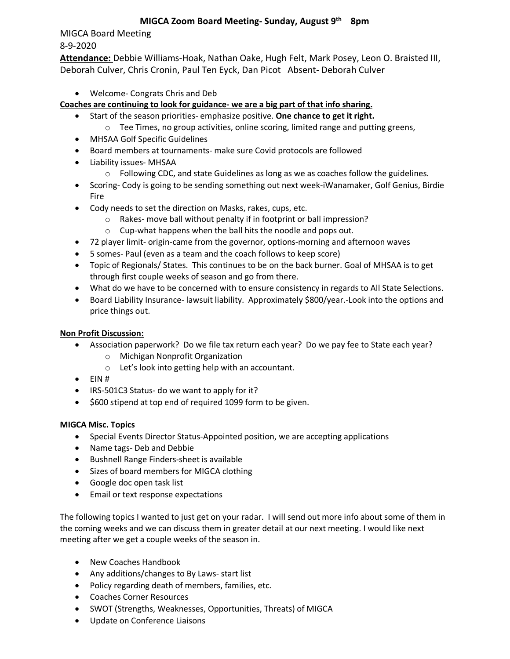### **MIGCA Zoom Board Meeting- Sunday, August 9th 8pm**

MIGCA Board Meeting

## 8-9-2020

**Attendance:** Debbie Williams-Hoak, Nathan Oake, Hugh Felt, Mark Posey, Leon O. Braisted III, Deborah Culver, Chris Cronin, Paul Ten Eyck, Dan Picot Absent- Deborah Culver

• Welcome- Congrats Chris and Deb

## **Coaches are continuing to look for guidance- we are a big part of that info sharing.**

- Start of the season priorities- emphasize positive. **One chance to get it right.**
	- o Tee Times, no group activities, online scoring, limited range and putting greens,
- MHSAA Golf Specific Guidelines
- Board members at tournaments- make sure Covid protocols are followed
- Liability issues- MHSAA
	- $\circ$  Following CDC, and state Guidelines as long as we as coaches follow the guidelines.
- Scoring- Cody is going to be sending something out next week-iWanamaker, Golf Genius, Birdie Fire
- Cody needs to set the direction on Masks, rakes, cups, etc.
	- o Rakes- move ball without penalty if in footprint or ball impression?
	- o Cup-what happens when the ball hits the noodle and pops out.
- 72 player limit- origin-came from the governor, options-morning and afternoon waves
- 5 somes- Paul (even as a team and the coach follows to keep score)
- Topic of Regionals/ States. This continues to be on the back burner. Goal of MHSAA is to get through first couple weeks of season and go from there.
- What do we have to be concerned with to ensure consistency in regards to All State Selections.
- Board Liability Insurance- lawsuit liability. Approximately \$800/year.-Look into the options and price things out.

## **Non Profit Discussion:**

- Association paperwork? Do we file tax return each year? Do we pay fee to State each year?
	- o Michigan Nonprofit Organization
	- o Let's look into getting help with an accountant.
- $\bullet$  EIN#
- IRS-501C3 Status- do we want to apply for it?
- \$600 stipend at top end of required 1099 form to be given.

## **MIGCA Misc. Topics**

- Special Events Director Status-Appointed position, we are accepting applications
- Name tags- Deb and Debbie
- Bushnell Range Finders-sheet is available
- Sizes of board members for MIGCA clothing
- Google doc open task list
- Email or text response expectations

The following topics I wanted to just get on your radar. I will send out more info about some of them in the coming weeks and we can discuss them in greater detail at our next meeting. I would like next meeting after we get a couple weeks of the season in.

- New Coaches Handbook
- Any additions/changes to By Laws- start list
- Policy regarding death of members, families, etc.
- Coaches Corner Resources
- SWOT (Strengths, Weaknesses, Opportunities, Threats) of MIGCA
- Update on Conference Liaisons